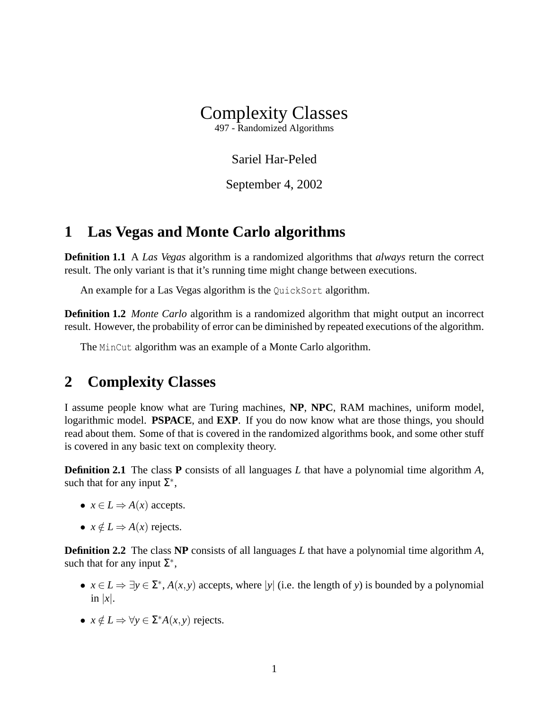

497 - Randomized Algorithms

Sariel Har-Peled

September 4, 2002

## **1 Las Vegas and Monte Carlo algorithms**

**Definition 1.1** A *Las Vegas* algorithm is a randomized algorithms that *always* return the correct result. The only variant is that it's running time might change between executions.

An example for a Las Vegas algorithm is the QuickSort algorithm.

**Definition 1.2** *Monte Carlo* algorithm is a randomized algorithm that might output an incorrect result. However, the probability of error can be diminished by repeated executions of the algorithm.

The MinCut algorithm was an example of a Monte Carlo algorithm.

## **2 Complexity Classes**

I assume people know what are Turing machines, **NP**, **NPC**, RAM machines, uniform model, logarithmic model. **PSPACE**, and **EXP**. If you do now know what are those things, you should read about them. Some of that is covered in the randomized algorithms book, and some other stuff is covered in any basic text on complexity theory.

**Definition 2.1** The class **P** consists of all languages *L* that have a polynomial time algorithm *A*, such that for any input  $\Sigma^*$ ,

- $x \in L \Rightarrow A(x)$  accepts.
- $x \notin L \Rightarrow A(x)$  rejects.

**Definition 2.2** The class **NP** consists of all languages *L* that have a polynomial time algorithm *A*, such that for any input  $\Sigma^*$ ,

- $x \in L \Rightarrow \exists y \in \Sigma^*$ ,  $A(x, y)$  accepts, where |*y*| (i.e. the length of *y*) is bounded by a polynomial in  $|x|$ .
- $x \notin L \Rightarrow \forall y \in \Sigma^* A(x, y)$  rejects.